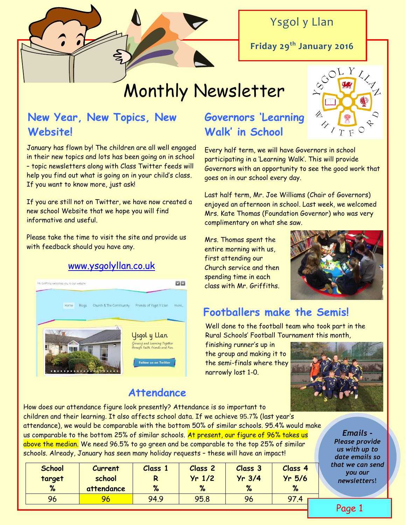

Ysgol y Llan

**Friday 29th January 2016**

# Monthly Newsletter

### **New Year, New Topics, New Website!**

January has flown by! The children are all well engaged in their new topics and lots has been going on in school – topic newsletters along with Class Twitter feeds will help you find out what is going on in your child's class. If you want to know more, just ask!

If you are still not on Twitter, we have now created a new school Website that we hope you will find informative and useful.

Please take the time to visit the site and provide us with feedback should you have any.

#### [www.ysgolyllan.co.uk](http://www.ysgolyllan.co.uk/)



### **Attendance**

# **Governors 'Learning Walk' in School**

Every half term, we will have Governors in school participating in a 'Learning Walk'. This will provide Governors with an opportunity to see the good work that goes on in our school every day.

Last half term, Mr. Joe Williams (Chair of Governors) enjoyed an afternoon in school. Last week, we welcomed Mrs. Kate Thomas (Foundation Governor) who was very complimentary on what she saw.

Mrs. Thomas spent the entire morning with us, first attending our Church service and then spending time in each class with Mr. Griffiths.



### **Footballers make the Semis!**

Well done to the football team who took part in the Rural Schools' Football Tournament this month,

finishing runner's up in the group and making it to the semi-finals where they narrowly lost 1-0.



How does our attendance figure look presently? Attendance is so important to children and their learning. It also affects school data. If we achieve 95.7% (last year's attendance), we would be comparable with the bottom 50% of similar schools. 95.4% would make us comparable to the bottom 25% of similar schools. At present, our figure of 96% takes us above the median. We need 96.5% to go green and be comparable to the top 25% of similar schools. Already, January has seen many holiday requests – these will have an impact!

| <b>School</b><br>target | <b>Current</b><br>school | Class 1 | <b>Class 2</b><br>$Yr$ 1/2 | <b>Class 3</b><br>$Yr$ 3/4 | Class 4<br>$Yr$ 5/6 |  |
|-------------------------|--------------------------|---------|----------------------------|----------------------------|---------------------|--|
| %                       | attendance               | %       | %                          | %                          | $\%$                |  |
| 96                      | 96.                      | 94.9    | 95.8                       | 96                         | 97.4                |  |

*Emails - Please provide us with up to date emails so that we can send you our newsletter*s!

Page 1